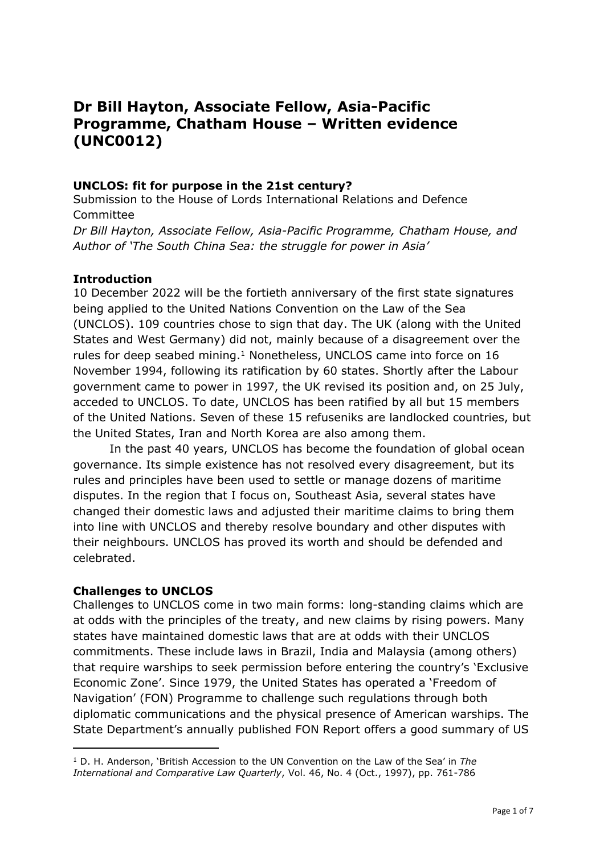# **Dr Bill Hayton, Associate Fellow, Asia-Pacific Programme, Chatham House – Written evidence (UNC0012)**

#### **UNCLOS: fit for purpose in the 21st century?**

Submission to the House of Lords International Relations and Defence Committee

*Dr Bill Hayton, Associate Fellow, Asia-Pacific Programme, Chatham House, and Author of 'The South China Sea: the struggle for power in Asia'*

#### **Introduction**

10 December 2022 will be the fortieth anniversary of the first state signatures being applied to the United Nations Convention on the Law of the Sea (UNCLOS). 109 countries chose to sign that day. The UK (along with the United States and West Germany) did not, mainly because of a disagreement over the rules for deep seabed mining.<sup>1</sup> Nonetheless, UNCLOS came into force on 16 November 1994, following its ratification by 60 states. Shortly after the Labour government came to power in 1997, the UK revised its position and, on 25 July, acceded to UNCLOS. To date, UNCLOS has been ratified by all but 15 members of the United Nations. Seven of these 15 refuseniks are landlocked countries, but the United States, Iran and North Korea are also among them.

In the past 40 years, UNCLOS has become the foundation of global ocean governance. Its simple existence has not resolved every disagreement, but its rules and principles have been used to settle or manage dozens of maritime disputes. In the region that I focus on, Southeast Asia, several states have changed their domestic laws and adjusted their maritime claims to bring them into line with UNCLOS and thereby resolve boundary and other disputes with their neighbours. UNCLOS has proved its worth and should be defended and celebrated.

#### **Challenges to UNCLOS**

Challenges to UNCLOS come in two main forms: long-standing claims which are at odds with the principles of the treaty, and new claims by rising powers. Many states have maintained domestic laws that are at odds with their UNCLOS commitments. These include laws in Brazil, India and Malaysia (among others) that require warships to seek permission before entering the country's 'Exclusive Economic Zone'. Since 1979, the United States has operated a 'Freedom of Navigation' (FON) Programme to challenge such regulations through both diplomatic communications and the physical presence of American warships. The State Department's annually published FON Report offers a good summary of US

<sup>1</sup> D. H. Anderson, 'British Accession to the UN Convention on the Law of the Sea' in *The International and Comparative Law Quarterly*, Vol. 46, No. 4 (Oct., 1997), pp. 761-786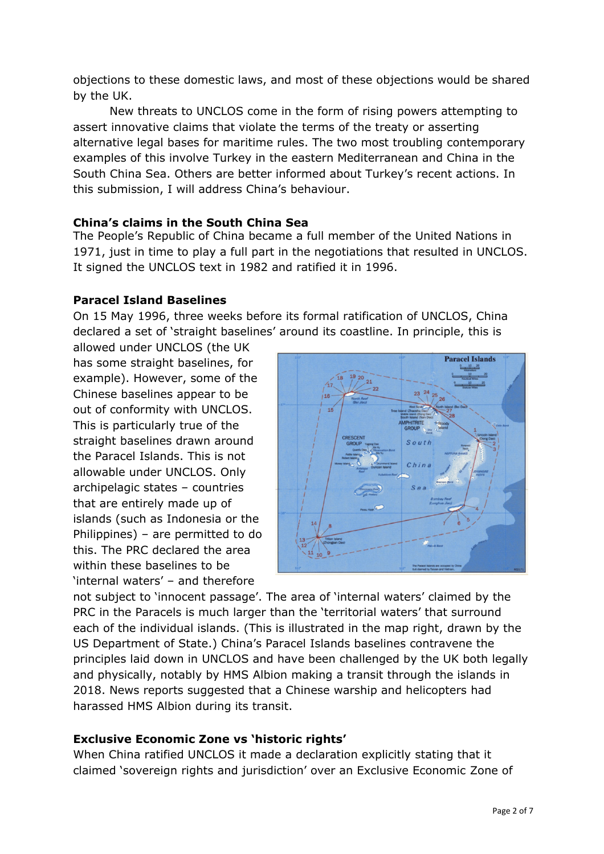objections to these domestic laws, and most of these objections would be shared by the UK.

New threats to UNCLOS come in the form of rising powers attempting to assert innovative claims that violate the terms of the treaty or asserting alternative legal bases for maritime rules. The two most troubling contemporary examples of this involve Turkey in the eastern Mediterranean and China in the South China Sea. Others are better informed about Turkey's recent actions. In this submission, I will address China's behaviour.

## **China's claims in the South China Sea**

The People's Republic of China became a full member of the United Nations in 1971, just in time to play a full part in the negotiations that resulted in UNCLOS. It signed the UNCLOS text in 1982 and ratified it in 1996.

## **Paracel Island Baselines**

On 15 May 1996, three weeks before its formal ratification of UNCLOS, China declared a set of 'straight baselines' around its coastline. In principle, this is

allowed under UNCLOS (the UK has some straight baselines, for example). However, some of the Chinese baselines appear to be out of conformity with UNCLOS. This is particularly true of the straight baselines drawn around the Paracel Islands. This is not allowable under UNCLOS. Only archipelagic states – countries that are entirely made up of islands (such as Indonesia or the Philippines) – are permitted to do this. The PRC declared the area within these baselines to be 'internal waters' – and therefore



not subject to 'innocent passage'. The area of 'internal waters' claimed by the PRC in the Paracels is much larger than the 'territorial waters' that surround each of the individual islands. (This is illustrated in the map right, drawn by the US Department of State.) China's Paracel Islands baselines contravene the principles laid down in UNCLOS and have been challenged by the UK both legally and physically, notably by HMS Albion making a transit through the islands in 2018. News reports suggested that a Chinese warship and helicopters had harassed HMS Albion during its transit.

## **Exclusive Economic Zone vs 'historic rights'**

When China ratified UNCLOS it made a declaration explicitly stating that it claimed 'sovereign rights and jurisdiction' over an Exclusive Economic Zone of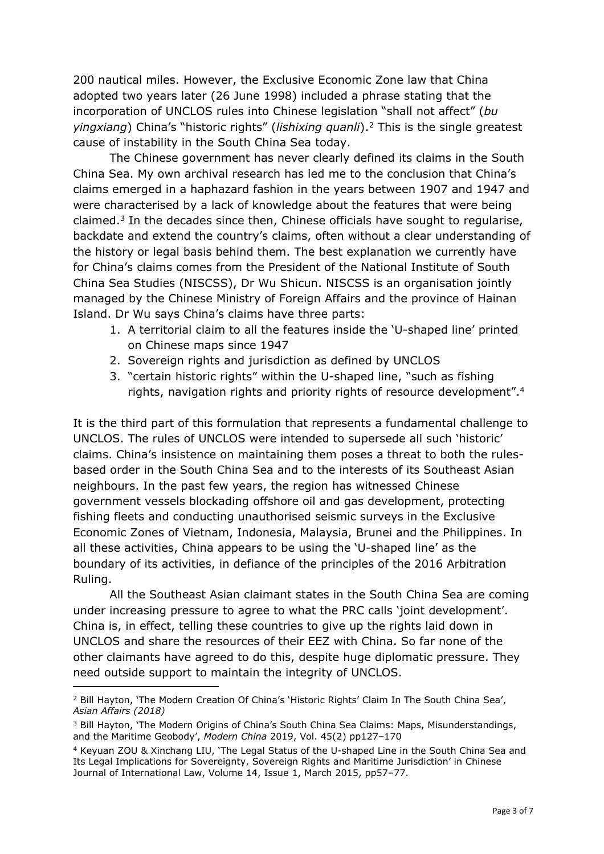200 nautical miles. However, the Exclusive Economic Zone law that China adopted two years later (26 June 1998) included a phrase stating that the incorporation of UNCLOS rules into Chinese legislation "shall not affect" (*bu yingxiang*) China's "historic rights" (*lishixing quanli*).<sup>2</sup> This is the single greatest cause of instability in the South China Sea today.

The Chinese government has never clearly defined its claims in the South China Sea. My own archival research has led me to the conclusion that China's claims emerged in a haphazard fashion in the years between 1907 and 1947 and were characterised by a lack of knowledge about the features that were being claimed.<sup>3</sup> In the decades since then, Chinese officials have sought to regularise, backdate and extend the country's claims, often without a clear understanding of the history or legal basis behind them. The best explanation we currently have for China's claims comes from the President of the National Institute of South China Sea Studies (NISCSS), Dr Wu Shicun. NISCSS is an organisation jointly managed by the Chinese Ministry of Foreign Affairs and the province of Hainan Island. Dr Wu says China's claims have three parts:

- 1. A territorial claim to all the features inside the 'U-shaped line' printed on Chinese maps since 1947
- 2. Sovereign rights and jurisdiction as defined by UNCLOS
- 3. "certain historic rights" within the U-shaped line, "such as fishing rights, navigation rights and priority rights of resource development".<sup>4</sup>

It is the third part of this formulation that represents a fundamental challenge to UNCLOS. The rules of UNCLOS were intended to supersede all such 'historic' claims. China's insistence on maintaining them poses a threat to both the rulesbased order in the South China Sea and to the interests of its Southeast Asian neighbours. In the past few years, the region has witnessed Chinese government vessels blockading offshore oil and gas development, protecting fishing fleets and conducting unauthorised seismic surveys in the Exclusive Economic Zones of Vietnam, Indonesia, Malaysia, Brunei and the Philippines. In all these activities, China appears to be using the 'U-shaped line' as the boundary of its activities, in defiance of the principles of the 2016 Arbitration Ruling.

All the Southeast Asian claimant states in the South China Sea are coming under increasing pressure to agree to what the PRC calls 'joint development'. China is, in effect, telling these countries to give up the rights laid down in UNCLOS and share the resources of their EEZ with China. So far none of the other claimants have agreed to do this, despite huge diplomatic pressure. They need outside support to maintain the integrity of UNCLOS.

<sup>2</sup> Bill Hayton, 'The Modern Creation Of China's 'Historic Rights' Claim In The South China Sea', *Asian Affairs (2018)*

<sup>&</sup>lt;sup>3</sup> Bill Hayton, 'The Modern Origins of China's South China Sea Claims: Maps, Misunderstandings, and the Maritime Geobody', *Modern China* 2019, Vol. 45(2) pp127–170

<sup>4</sup> Keyuan ZOU & Xinchang LIU, 'The Legal Status of the U-shaped Line in the South China Sea and Its Legal Implications for Sovereignty, Sovereign Rights and Maritime Jurisdiction' in Chinese Journal of International Law, Volume 14, Issue 1, March 2015, pp57–77.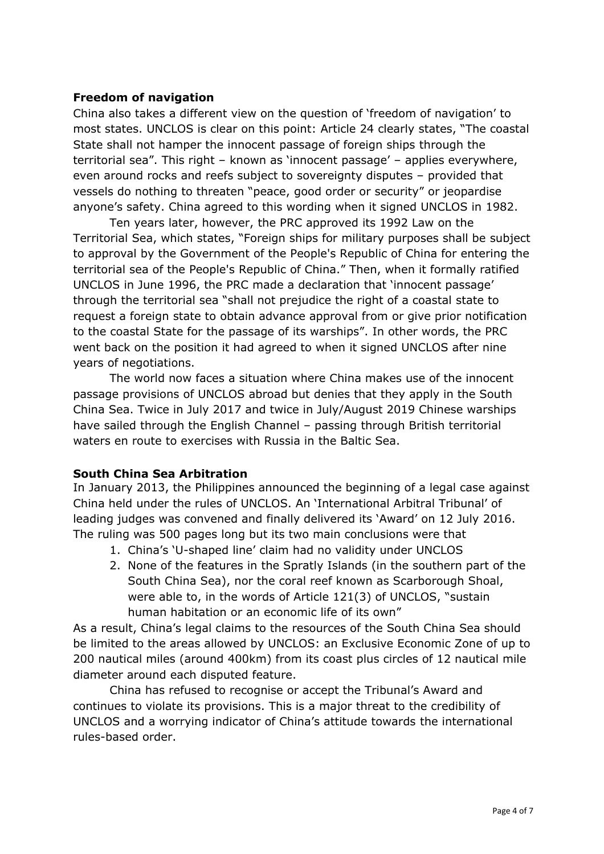## **Freedom of navigation**

China also takes a different view on the question of 'freedom of navigation' to most states. UNCLOS is clear on this point: Article 24 clearly states, "The coastal State shall not hamper the innocent passage of foreign ships through the territorial sea". This right – known as 'innocent passage' – applies everywhere, even around rocks and reefs subject to sovereignty disputes – provided that vessels do nothing to threaten "peace, good order or security" or jeopardise anyone's safety. China agreed to this wording when it signed UNCLOS in 1982.

Ten years later, however, the PRC approved its 1992 Law on the Territorial Sea, which states, "Foreign ships for military purposes shall be subject to approval by the Government of the People's Republic of China for entering the territorial sea of the People's Republic of China." Then, when it formally ratified UNCLOS in June 1996, the PRC made a declaration that 'innocent passage' through the territorial sea "shall not prejudice the right of a coastal state to request a foreign state to obtain advance approval from or give prior notification to the coastal State for the passage of its warships". In other words, the PRC went back on the position it had agreed to when it signed UNCLOS after nine years of negotiations.

The world now faces a situation where China makes use of the innocent passage provisions of UNCLOS abroad but denies that they apply in the South China Sea. Twice in July 2017 and twice in July/August 2019 Chinese warships have sailed through the English Channel – passing through British territorial waters en route to exercises with Russia in the Baltic Sea.

## **South China Sea Arbitration**

In January 2013, the Philippines announced the beginning of a legal case against China held under the rules of UNCLOS. An 'International Arbitral Tribunal' of leading judges was convened and finally delivered its 'Award' on 12 July 2016. The ruling was 500 pages long but its two main conclusions were that

- 1. China's 'U-shaped line' claim had no validity under UNCLOS
- 2. None of the features in the Spratly Islands (in the southern part of the South China Sea), nor the coral reef known as Scarborough Shoal, were able to, in the words of Article 121(3) of UNCLOS, "sustain human habitation or an economic life of its own"

As a result, China's legal claims to the resources of the South China Sea should be limited to the areas allowed by UNCLOS: an Exclusive Economic Zone of up to 200 nautical miles (around 400km) from its coast plus circles of 12 nautical mile diameter around each disputed feature.

China has refused to recognise or accept the Tribunal's Award and continues to violate its provisions. This is a major threat to the credibility of UNCLOS and a worrying indicator of China's attitude towards the international rules-based order.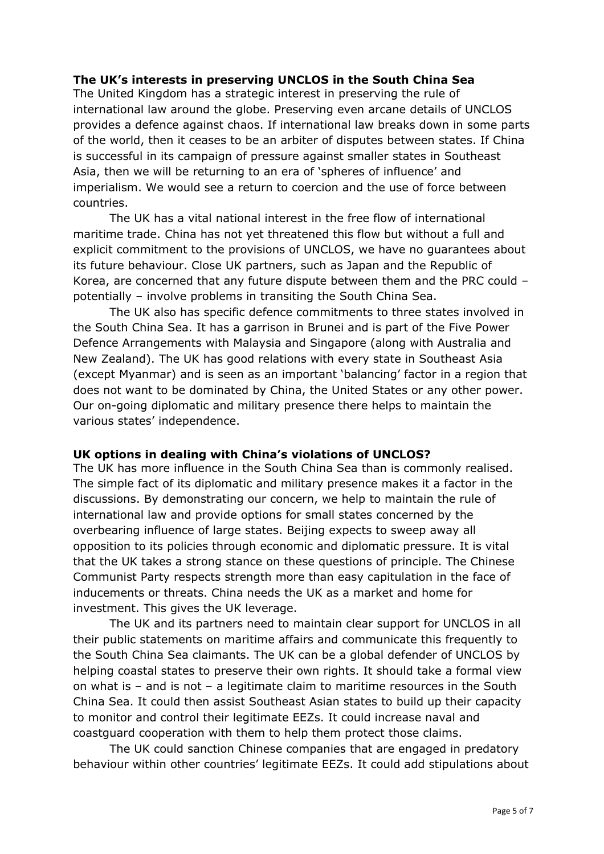## **The UK's interests in preserving UNCLOS in the South China Sea**

The United Kingdom has a strategic interest in preserving the rule of international law around the globe. Preserving even arcane details of UNCLOS provides a defence against chaos. If international law breaks down in some parts of the world, then it ceases to be an arbiter of disputes between states. If China is successful in its campaign of pressure against smaller states in Southeast Asia, then we will be returning to an era of 'spheres of influence' and imperialism. We would see a return to coercion and the use of force between countries.

The UK has a vital national interest in the free flow of international maritime trade. China has not yet threatened this flow but without a full and explicit commitment to the provisions of UNCLOS, we have no guarantees about its future behaviour. Close UK partners, such as Japan and the Republic of Korea, are concerned that any future dispute between them and the PRC could – potentially – involve problems in transiting the South China Sea.

The UK also has specific defence commitments to three states involved in the South China Sea. It has a garrison in Brunei and is part of the Five Power Defence Arrangements with Malaysia and Singapore (along with Australia and New Zealand). The UK has good relations with every state in Southeast Asia (except Myanmar) and is seen as an important 'balancing' factor in a region that does not want to be dominated by China, the United States or any other power. Our on-going diplomatic and military presence there helps to maintain the various states' independence.

#### **UK options in dealing with China's violations of UNCLOS?**

The UK has more influence in the South China Sea than is commonly realised. The simple fact of its diplomatic and military presence makes it a factor in the discussions. By demonstrating our concern, we help to maintain the rule of international law and provide options for small states concerned by the overbearing influence of large states. Beijing expects to sweep away all opposition to its policies through economic and diplomatic pressure. It is vital that the UK takes a strong stance on these questions of principle. The Chinese Communist Party respects strength more than easy capitulation in the face of inducements or threats. China needs the UK as a market and home for investment. This gives the UK leverage.

The UK and its partners need to maintain clear support for UNCLOS in all their public statements on maritime affairs and communicate this frequently to the South China Sea claimants. The UK can be a global defender of UNCLOS by helping coastal states to preserve their own rights. It should take a formal view on what is – and is not – a legitimate claim to maritime resources in the South China Sea. It could then assist Southeast Asian states to build up their capacity to monitor and control their legitimate EEZs. It could increase naval and coastguard cooperation with them to help them protect those claims.

The UK could sanction Chinese companies that are engaged in predatory behaviour within other countries' legitimate EEZs. It could add stipulations about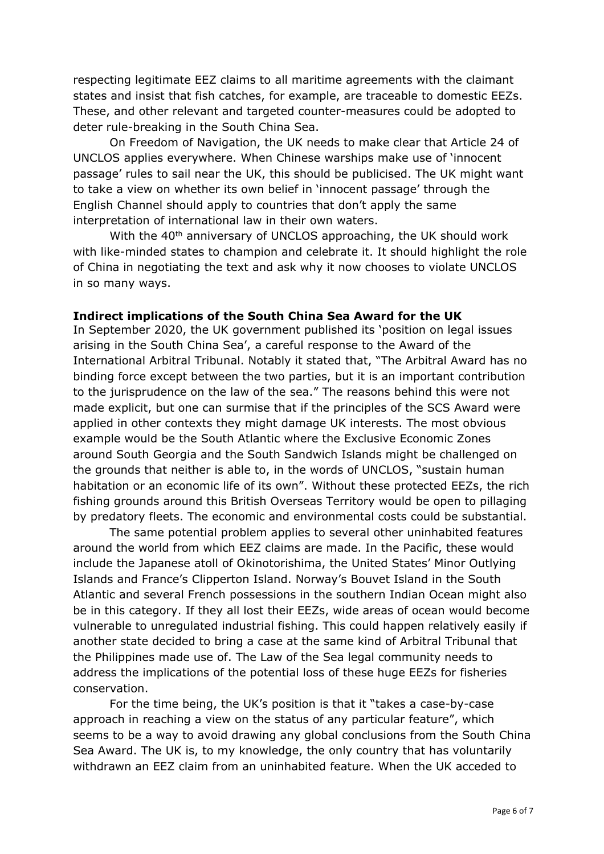respecting legitimate EEZ claims to all maritime agreements with the claimant states and insist that fish catches, for example, are traceable to domestic EEZs. These, and other relevant and targeted counter-measures could be adopted to deter rule-breaking in the South China Sea.

On Freedom of Navigation, the UK needs to make clear that Article 24 of UNCLOS applies everywhere. When Chinese warships make use of 'innocent passage' rules to sail near the UK, this should be publicised. The UK might want to take a view on whether its own belief in 'innocent passage' through the English Channel should apply to countries that don't apply the same interpretation of international law in their own waters.

With the 40<sup>th</sup> anniversary of UNCLOS approaching, the UK should work with like-minded states to champion and celebrate it. It should highlight the role of China in negotiating the text and ask why it now chooses to violate UNCLOS in so many ways.

## **Indirect implications of the South China Sea Award for the UK**

In September 2020, the UK government published its 'position on legal issues arising in the South China Sea', a careful response to the Award of the International Arbitral Tribunal. Notably it stated that, "The Arbitral Award has no binding force except between the two parties, but it is an important contribution to the jurisprudence on the law of the sea." The reasons behind this were not made explicit, but one can surmise that if the principles of the SCS Award were applied in other contexts they might damage UK interests. The most obvious example would be the South Atlantic where the Exclusive Economic Zones around South Georgia and the South Sandwich Islands might be challenged on the grounds that neither is able to, in the words of UNCLOS, "sustain human habitation or an economic life of its own". Without these protected EEZs, the rich fishing grounds around this British Overseas Territory would be open to pillaging by predatory fleets. The economic and environmental costs could be substantial.

The same potential problem applies to several other uninhabited features around the world from which EEZ claims are made. In the Pacific, these would include the Japanese atoll of Okinotorishima, the United States' Minor Outlying Islands and France's Clipperton Island. Norway's Bouvet Island in the South Atlantic and several French possessions in the southern Indian Ocean might also be in this category. If they all lost their EEZs, wide areas of ocean would become vulnerable to unregulated industrial fishing. This could happen relatively easily if another state decided to bring a case at the same kind of Arbitral Tribunal that the Philippines made use of. The Law of the Sea legal community needs to address the implications of the potential loss of these huge EEZs for fisheries conservation.

For the time being, the UK's position is that it "takes a case-by-case approach in reaching a view on the status of any particular feature", which seems to be a way to avoid drawing any global conclusions from the South China Sea Award. The UK is, to my knowledge, the only country that has voluntarily withdrawn an EEZ claim from an uninhabited feature. When the UK acceded to